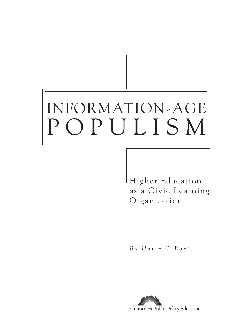# INFORMATION-AGE POPULISM

Higher Education as a Civic Learning Organization

*B y H a r r y C. B o y t e*

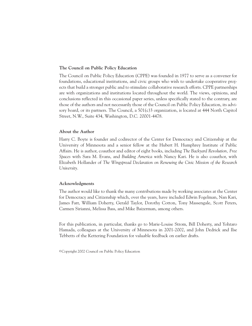### **The Council on Public Policy Education**

The Council on Public Policy Education (CPPE) was founded in 1977 to serve as a convener for foundations, educational institutions, and civic groups who wish to undertake cooperative projects that build a stronger public and to stimulate collaborative research efforts. CPPE partnerships are with organizations and institutions located throughout the world. The views, opinions, and conclusions reflected in this occasional paper series, unless specifically stated to the contrary, are those of the authors and not necessarily those of the Council on Public Policy Education, its advisory board, or its partners. The Council, a 501(c)3 organization, is located at 444 North Capitol Street, N.W., Suite 434, Washington, D.C. 20001-4478.

### **About the Author**

Harry C. Boyte is founder and codirector of the Center for Democracy and Citizenship at the University of Minnesota and a senior fellow at the Hubert H. Humphrey Institute of Public Affairs. He is author, coauthor and editor of eight books, including *The Backyard Revolution, Free Spaces* with Sara M. Evans, and *Building America* with Nancy Kari. He is also coauthor, with Elizabeth Hollander of *The Wingspread Declaration on Renewing the Civic Mission of the Research University.*

#### **Acknowledgments**

The author would like to thank the many contributions made by working associates at the Center for Democracy and Citizenship which, over the years, have included Edwin Fogelman, Nan Kari, James Farr, William Doherty, Gerald Taylor, Dorothy Cotton, Tony Massengale, Scott Peters, Carmen Sirianni, Melissa Bass, and Mike Baizerman, among others.

For this publication, in particular, thanks go to Marie-Louise Strom, Bill Doherty, and Yohtaro Hamada, colleagues at the University of Minnesota in 2001-2002, and John Dedrick and Ilse Tebbetts of the Kettering Foundation for valuable feedback on earlier drafts.

©Copyright 2002 Council on Public Policy Education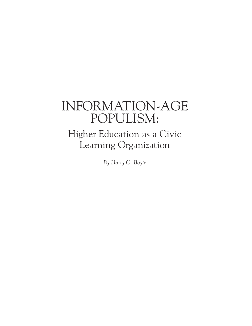# INFORMATION-AGE POPULISM:

# Higher Education as a Civic Learning Organization

*By Harry C. Boyte*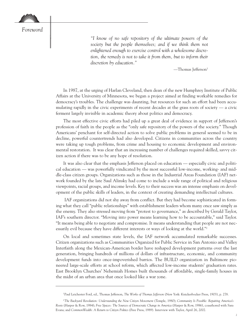*Foreword*

*"I know of no safe repository of the ultimate powers of the society but the people themselves; and if we think them not enlightened enough to exercise control with a wholesome discretion, the remedy is not to take it from them, but to inform their discretion by education."*

—Thomas Jefferson1

In 1987, at the urging of Harlan Cleveland, then dean of the new Humphrey Institute of Public Affairs at the University of Minnesota, we began a project aimed at finding workable remedies for democracy's troubles. The challenge was daunting, but resources for such an effort had been accumulating rapidly in the civic experiments of recent decades at the grass roots of society — a civic ferment largely invisible in academic theory about politics and democracy.

The most effective civic efforts had piled up a great deal of evidence in support of Jefferson's profession of faith in the people as the "only safe repository of the powers of the society." Though Americans' penchant for self-directed action to solve public problems in general seemed to be in decline, powerful countertrends had also developed. Citizens in communities across the country were taking up tough problems, from crime and housing to economic development and environmental restoration. It was clear that an increasing number of challenges required skilled, savvy citizen action if there was to be any hope of resolution.

It was also clear that the emphasis Jefferson placed on education — especially civic and political education — was powerfully vindicated by the most successful low-income, working- and middle-class citizen groups. Organizations such as those in the Industrial Areas Foundation (IAF) network founded by the late Saul Alinsky had come to include a wide range of political and religious viewpoints, racial groups, and income levels. Key to their success was an intense emphasis on development of the public skills of leaders, in the context of creating demanding intellectual cultures.

IAF organizations did not shy away from conflict. But they had become sophisticated in forming what they call "public relationships" with establishment leaders whom many once saw simply as the enemy. They also stressed moving from "protest to governance," as described by Gerald Taylor, IAF's southern director. "Moving into power means learning how to be accountable," said Taylor. "It means being able to negotiate and compromise. It means understanding that people are not necessarily evil because they have different interests or ways of looking at the world."2

On local and sometimes state levels, the IAF network accumulated remarkable successes. Citizen organizations such as Communities Organized for Public Service in San Antonio and Valley Interfaith along the Mexican-American border have reshaped development patterns over the last generation, bringing hundreds of millions of dollars of infrastructure, economic, and community development funds into once-impoverished barrios. The BUILD organization in Baltimore pioneered large-scale efforts at school reform, which affected low-income students' graduation rates. East Brooklyn Churches' Nehemiah Homes built thousands of affordable, single-family houses in the midst of an urban area that once looked like a war zone.

<sup>1</sup>Paul Leichester Ford, ed., Thomas Jefferson, *The Works of Thomas Jefferson* (New York: Knickerbocker Press, 1903), p. 278.

<sup>2</sup>*The Backyard Revolution: Understanding the New Citizen Movement* (Temple, 1980); *Community Is Possible: Repairing America's Roots* (Harper & Row, 1984); *Free Spaces: The Sources of Democratic Change in America* (Harper & Row, 1986), coauthored with Sara Evans; and *CommonWealth: A Return to Citizen Politics* (Free Press, 1989). Interview with Taylor, April 26, 2002.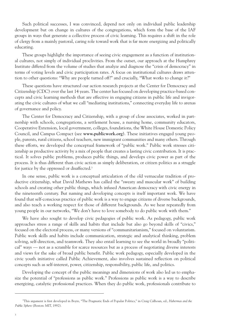Such political successes, I was convinced, depend not only on individual public leadership development but on change in cultures of the congregations, which form the base of the IAF groups in ways that generate a collective process of civic learning. This requires a shift in the role of clergy from a mainly pastoral, caring role toward work that is far more energizing and politically educating.

These groups highlight the importance of seeing civic engagement as a function of institutional cultures, not simply of individual proclivities. From the outset, our approach at the Humphrey Institute differed from the volume of studies that analyze and diagnose the "crisis of democracy" in terms of voting levels and civic participation rates. A focus on institutional cultures draws attention to other questions: "Why are people turned off?" and crucially, "What works to change it?"

These questions have structured our action research projects at the Center for Democracy and Citizenship (CDC) over the last 14 years. The center has focused on developing practice-based concepts and civic learning methods that are effective in engaging citizens in public life and invigorating the civic cultures of what we call "mediating institutions," connecting everyday life to arenas of governance and policy.

The Center for Democracy and Citizenship, with a group of close associates, worked in partnership with schools, congregations, a settlement house, a nursing home, community educators, Cooperative Extension, local government, colleges, foundations, the White House Domestic Policy Council, and Campus Compact (see **www.publicwork.org**). These initiatives engaged young people, parents, rural citizens, school teachers, new immigrant communities and many others. Through these efforts, we developed the conceptual framework of "public work." Public work stresses citizenship as productive activity by a mix of people that creates a lasting civic contribution. It is practical. It solves public problems, produces public things, and develops civic power as part of the process. It is thus different than civic action as simply deliberation, or citizen politics as a struggle for justice by the oppressed or disaffected.3

In one sense, public work is a conceptual articulation of the old vernacular tradition of productive citizenship, what David Mathews has called the "sweaty and muscular work" of building schools and creating other public things, which infused American democracy with civic energy in the nineteenth century. But naming and developing concepts is itself important work. We have found that self-conscious practice of public work is a way to engage citizens of diverse backgrounds, and also teach a working respect for those of different backgrounds. As we hear repeatedly from young people in our networks, "We don't have to love somebody to do public work with them."

We have also sought to develop civic pedagogies of public work. As pedagogy, public work approaches stress a range of skills and habits that include but also go beyond skills of "civics," focused on the electoral process, or many versions of "communitarianism," focused on voluntarism. Public work skills and habits include communication, strategic and analytical thinking, problem solving, self-direction, and teamwork. They also entail learning to see the world in broadly "political" ways — not as a scramble for scarce resources but as a process of negotiating diverse interests and views for the sake of broad public benefit. Public work pedagogy, especially developed in the civic youth initiative called Public Achievement, also involves sustained reflection on political concepts such as self-interest, power, citizenship, responsibility, public life, and politics.

Developing the concept of the public meanings and dimensions of work also led us to emphasize the potential of "professions as public work." Professions as public work is a way to describe energizing, catalytic professional practices. When they do public work, professionals contribute to

<sup>3</sup> This argument is first developed in Boyte, "The Pragmatic Ends of Popular Politics," in Craig Calhoun, ed., *Habermas and the Public Sphere* (Boston: MIT, 1992).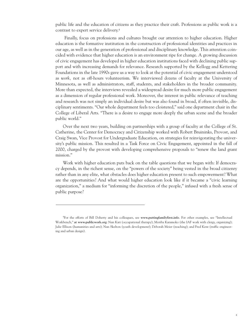public life and the education of citizens as they practice their craft. Professions as public work is a contrast to expert service delivery.4

Finally, focus on professions and cultures brought our attention to higher education. Higher education is the formative institution in the construction of professional identities and practices in our age, as well as in the generation of professional and disciplinary knowledge. This attention coincided with evidence that higher education is an environment ripe for change. A growing discussion of civic engagement has developed in higher education institutions faced with declining public support and with increasing demands for relevance. Research supported by the Kellogg and Kettering Foundations in the late 1990s gave us a way to look at the potential of civic engagement understood as *work,* not as off-hours volunteerism. We interviewed dozens of faculty at the University of Minnesota, as well as administrators, staff, students, and stakeholders in the broader community. More than expected, the interviews revealed a widespread desire for much more public engagement as a dimension of regular professional work. Moreover, the interest in public relevance of teaching and research was not simply an individual desire but was also found in broad, if often invisible, disciplinary sentiments. "Our whole department feels too cloistered," said one department chair in the College of Liberal Arts. "There is a desire to engage more deeply the urban scene and the broader public world."

Over the next two years, building on partnerships with a group of faculty at the College of St. Catherine, the Center for Democracy and Citizenship worked with Robert Bruininks, Provost, and Craig Swan, Vice Provost for Undergraduate Education, on strategies for reinvigorating the university's public mission. This resulted in a Task Force on Civic Engagement, appointed in the fall of 2000, charged by the provost with developing comprehensive proposals to "renew the land grant mission."

Work with higher education puts back on the table questions that we began with: If democracy depends, in the richest sense, on the "powers of the society" being vested in the broad citizenry rather than in any elite, what obstacles does higher education present to such empowerment? What are the opportunities? And what would higher education look like if it became a "civic learning organization," a medium for "informing the discretion of the people," infused with a fresh sense of public purpose?

<sup>4</sup> For the efforts of Bill Doherty and his colleagues, see **www.puttingfamilyfirst.info**. For other examples, see "Intellectual Workbench," **at www.publicwork.org**: Nan Kari (occupational therapy); Moriba Karamoko (the IAF work with clergy, organizing); Julie Ellison (humanities and arts); Nan Skelton (youth development); Deborah Meier (teaching); and Fred Kent (traffic engineering and urban design).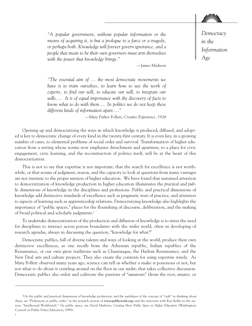

*Democracy* 

*Information* 

*in the* 

*Age* 

*"A popular government, without popular information or the means of acquiring it, is but a prologue to a farce or a tragedy, or perhaps both. Knowledge will forever govern ignorance, and a people that mean to be their own governors must arm themselves with the power that knowledge brings."*

—James Madison

*"The essential aim of … the most democratic movements we have is to train ourselves, to learn how to use the work of experts, to find our will, to educate our will, to integrate our wills.… It is of equal importance with the discovery of facts to know what to do with them.… In politics we do not keep these different kinds of information apart.…"*

—Mary Parker Follett, *Creative Experience, 1924*

Opening up and democratizing the ways in which knowledge is produced, diffused, and adopted is key to democratic change of every kind in the twenty-first century. It is even key, in a growing number of cases, to elemental problems of social order and survival. Transformation of higher education from a setting whose norms now emphasize detachment and apartness, to a place for civic engagement, civic learning, and the reconstruction of politics itself, will be at the heart of this democratization.

This is not to say that expertise is not important, that the search for excellence is not worthwhile, or that norms of judgment, reason, and the capacity to look at questions from many vantages are not intrinsic to the proper mission of higher education. We have found that sustained attention to democratization of knowledge production in higher education illuminates the *practical* and *public* dimensions of knowledge in the disciplines and professions. Public and practical dimensions of knowledge add distinctive standards of excellence such as pragmatic tests of practice, and attention to aspects of learning such as apprenticeship relations. Democratizing knowledge also highlights the importance of "public spaces," places for the flourishing of discourse, deliberation, and the making of broad political and scholarly judgments.5

To undertake democratization of the production and diffusion of knowledge is to stress the need for disciplines to interact across porous boundaries with the wider world, often in developing of research agendas, always in discussing the question, "knowledge for what?"

Democratic publics, full of diverse talents and ways of looking at the world, produce their own distinctive excellences, as one recalls from the Athenian republic, Italian republics of the Renaissance, or our own great traditions such as Chautauqua, the Harlem Renaissance, and the New Deal arts and culture projects. They also create the contexts for using expertise wisely. As Mary Follett observed many years ago, science can tell us whether a snake is poisonous or not, but not what to do about it crawling around on the floor in our midst; that takes collective discussion. Democratic publics also enlist and cultivate the passions of "amateurs" (from the root, *amator,* or

<sup>5</sup> On the public and practical dimensions of knowledge production, and the usefulness of the concept of "craft" in thinking about these, see "Professions as public crafts," in the research section of **www.publicwork.org;** and the interview with Ken Keller in the section, "Intellectual Workbench." On public space, see David Mathews, *Creating More Public Space in Higher Education* (Washington: Council on Public Policy Education, 1999).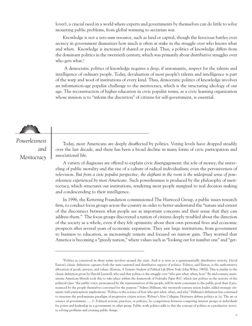lover), a crucial need in a world where experts and governments by themselves can do little to solve mounting public problems, from global warming to sectarian war.

Knowledge is not a zero-sum resource, such as land or capital, though the ferocious battles over secrecy in government dramatizes how much is often at stake in the struggle over who knows what and when. Knowledge is increased if shared or pooled. Thus, a politics of knowledge differs from the dominant politics in the twentieth century, which was primarily about distributive struggles over who gets what.<sup>6</sup>

A democratic politics of knowledge requires a deep, if unromantic, respect for the talents and intelligence of ordinary people. Today, devaluation of most people's talents and intelligence is part of the warp and woof of institutions of every kind. Thus, democratic politics of knowledge involves an information-age populist challenge to the meritocracy, which is the structuring ideology of our age. The reconstruction of higher education in civic populist terms, as a civic learning organization whose mission is to "inform the discretion" of citizens for self-government, is essential.

## *Powerlessness and Meritocracy*

Today, most Americans are deeply disaffected by politics. Voting levels have dropped steadily over the last decade, and there has been a broad decline in many forms of civic participation and associational life.

A variety of diagnoses are offered to explain civic disengagement: the role of money; the unraveling of public morality and the rise of a culture of radical individualism; even the pervasiveness of television. *But from a civic populist perspective, the elephant in the room is the widespread sense of powerlessness experienced by most Americans.* Such powerlessness is produced by the philosophy of meritocracy, which structures our institutions, rendering most people marginal to real decision making and condescending to their intelligence.

In 1996, the Kettering Foundation commissioned The Harwood Group, a public issues research firm, to conduct focus groups across the country in order to better understand the "nature and extent of the disconnect between what people see as important concerns and their sense that they can address them." The focus groups discovered a nation of citizens deeply troubled about the direction of the society as a whole, even if they felt optimistic about their own personal lives and economic prospects after several years of economic expansion. They saw large institutions, from government to business to education, as increasingly remote and focused on narrow gain. They worried that America is becoming a "greedy nation," where values such as "looking out for number one" and "get-

<sup>6</sup> Politics as conceived in these terms revolves around the state. And it is seen as a quintessentially distributive activity. David Easton's classic definition captures both the state-centered and distributive aspects of politics. Politics, said Easton, is the authoritative allocation of goods, services, and values. (Easton, *A Systems Analysis of Political Life* [New York: John Wiley, 1965]). This is similar to the classic definition given by Harold Lasswell, who said that politics is the struggle over "who gets what, when, how." By mid-century, mainstream American liberals took this to take place within the framework of *Federalist Paper #10,* which saw politics as the activity of the political class: "the public voice, pronounced by the representatives of the people, will be more consonant to the public good than if pronounced by the people themselves convened for the purpose." Sidney Hillman, the twentieth-century union leader, added strategic elements with participatory implications: "Politics is the science of how who gets what, when, and why." Hillman's definition has continued to structure the predominant paradigm of progressive citizen action. *Webster's New Collegiate Dictionary* defines politics as *1a:* The art or science of government .… *2:* Political actions, practices, or policies; *3a:* competition between competing interest groups or individuals for power and leadership in a government or other group. Public work politics adds to this the concept of politics as a productive activity solving problems and creating public things.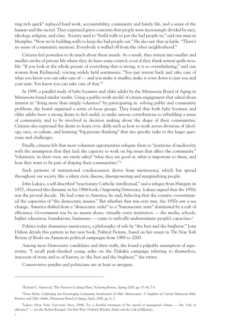ting rich quick" replaced hard work, accountability, community and family life, and a sense of the human and the sacred. They expressed grave concerns that people were increasingly divided by race, ideology, religion, and class. Society used to "build walls to put the bad people in," said one man in Memphis. "Now we're building walls to keep the bad people out." He also saw that as futile. "There's no sense of community anymore. Everybody is walled off from the other neighborhood."

Citizens feel powerless to do much about these trends. As a result, they retreat into smaller and smaller circles of private life where they do have some control, even if they think retreat spells trouble. "If you look at the whole picture of everything that is wrong, it is so overwhelming," said one woman from Richmond, voicing widely held sentiments. "You just retreat back and take care of what you know you can take care of — and you make it smaller, make it even down to just you and your unit. You know you can take care of that."7

In 1999, a parallel study of baby boomers and older adults by the Minnesota Board of Aging in Minnesota found similar results. Using a public-work model of citizen engagement that asked about interest in "doing more than simply volunteer" by participating in solving public and community problems, the board organized a series of focus groups. They found that both baby boomers and older adults have a strong desire to feel useful, to make serious contributions to rebuilding a sense of community, and to be involved in decision making about the shape of their communities. Citizens also expressed the desire to learn civic skills such as how to work across divisions of ideology, race, or culture, and learning "big-picture thinking" that ties specific tasks to the larger questions and challenges.

Finally, citizens felt that most volunteer opportunities relegate them to "positions of mediocrity with the assumption that they lack the capacity to work on big issues that affect the community." Volunteers, in their view, are rarely asked "what they are good at, what is important to them, and how they want to be part of shaping their communities."<sup>8</sup>

Such patterns of institutional condescension derive from meritocracy, which has spread throughout our society like a silent civic disease, disempowering and marginalizing people.

John Lukacs, a self-described "reactionary Catholic intellectual," and a refugee from Hungary in 1957, observed this dynamic in his 1984 book, *Outgrowing Democracy.* Lukacs argued that the 1950s was the pivotal decade. He had come to America, he said, believing that the country overestimated the capacities of "the democratic masses." But whether that was ever true, the 1950s saw a sea change. America shifted from a "democratic order" to a "bureaucratic state" dominated by a cult of efficiency. Government was by no means alone; virtually every institution — the media, schools, higher education, foundations, businesses — came to radically underestimate people's capacities.<sup>9</sup>

Politics today dramatizes meritocracy, a philosophy of rule by "the best and the brightest." Joan Didion details this pattern in her new book, *Political Fictions,* based on her essays in *The New York Review of Books* on American political campaigns from 1988 to 2000.

Among most Democratic candidates and their staffs, she found a palpable assumption of superiority. "I recall pink-cheeked young aides on the Dukakis campaign referring to themselves, innocent of irony and so of history, as 'the best and the brightest," she writes.

Conservative pundits and politicians are at least as arrogant.

<sup>7</sup>Richard C. Harwood, "The Nation's Looking Glass," *Kettering Review,* Spring 2000, pp. 15-16; 7-8.

<sup>8</sup>Dean Mohs, *Celebrating and Encouraging Community Involvement of Older Minnesotans: A Snapshot of Current Minnesota Baby Boomers and Older Adults,* Minnesota Board of Aging, April, 2000, pp. 6, 3.

<sup>9</sup>Lukacs (New York: University Press, 1984). For a detailed treatment of the spread of managerial cultures — the "cult of efficiency" — see also Robert Kanigel, *One Best Way: Frederick Winslow Taylor and the Cult of Efficiency.*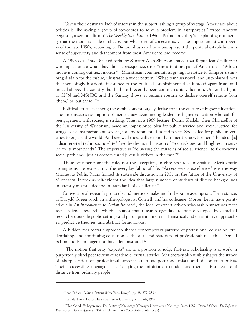"Given their obstinate lack of interest in the subject, asking a group of average Americans about politics is like asking a group of stevedores to solve a problem in astrophysics," wrote Andrew Ferguson, a senior editor of *The Weekly Standard* in 1996. "Before long they're explaining not merely that the moon is made of cheese, but what kind of cheese it is…" The impeachment controversy of the late 1990s, according to Didion, illustrated how omnipresent the political establishment's sense of superiority and detachment from most Americans had become.

A 1998 *New York Times* editorial by Senator Alan Simpson argued that Republicans' failure to win impeachment would have little consequence, since "the attention span of Americans is 'Which movie is coming out next month?'" Mainstream commentators, giving no notice to Simpson's stunning disdain for the public, illustrated a wider pattern. "What remains novel, and unexplained, was the increasingly histrionic insistence of the political establishment that it stood apart from, and indeed above, the country that had until recently been considered its validation. Under the lights at CNN and MSNBC and the Sunday shows, it became routine to declare oneself remote from 'them,' or 'out there."<sup>10</sup>

Political attitudes among the establishment largely derive from the culture of higher education. The unconscious assumption of meritocracy even among leaders in higher education who call for reengagement with society is striking. Thus, in a 1989 lecture, Donna Shalala, then Chancellor of the University of Wisconsin, made an impassioned plea for public service and social justice, for struggles against racism and sexism, for environmentalism and peace. She called for public universities to engage the world. And she wed these calls explicitly to meritocracy. For her, "the ideal [is] a disinterested technocratic elite" fired by the moral mission of "society's best and brightest in service to its most needy." The imperative is "delivering the miracles of social science" to fix society's social problems "just as doctors cured juvenile rickets in the past."<sup>11</sup>

These sentiments are the rule, not the exception, in elite research universities. Meritocratic assumptions are woven into the everyday fabric of life. "Access versus excellence" was the way Minnesota Public Radio framed its statewide discussion in 2001 on the future of the University of Minnesota. It took as self-evident the idea that large numbers of students of diverse backgrounds inherently meant a decline in "standards of excellence."

Conventional research protocols and methods make much the same assumption. For instance, as Davydd Greenwood, an anthropologist at Cornell, and his colleague, Morten Levin have pointed out in *An Introduction to Action Research,* the ideal of expert-driven scholarship structures most social science research, which assumes that research agendas are best developed by detached researchers outside public settings and puts a premium on mathematical and quantitative approaches, predictive theories, and abstract formulations.

A hidden meritocratic approach shapes contemporary patterns of professional education, credentialing, and continuing education as theorists and historians of professionalism such as Donald Schon and Ellen Lagemann have demonstrated.<sup>12</sup>

The notion that only "experts" are in a position to judge first-rate scholarship is at work in purportedly blind peer review of academic journal articles. Meritocracy also visibly shapes the stance of sharp critics of professional systems such as post-modernists and deconstructionists. Their inaccessible language — as if defying the uninitiated to understand them — is a measure of distance from ordinary people.

<sup>10</sup>Joan Didion, *Political Fictions* (New York: Knopf), pp. 28, 279, 253-4.

<sup>11</sup>Shalala, David Dodds Henry Lecture at University of Illinois, 1989.

<sup>12</sup>Ellen Condliffe Lagemann, *The Politics of Knowledge* (Chicago: University of Chicago Press, 1989); Donald Schon, *The Reflective Practitioner: How Professionals Think in Action* (New York: Basic Books, 1983).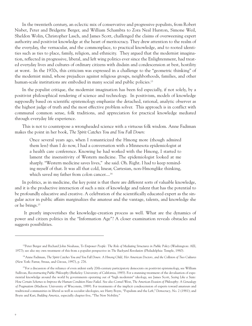In the twentieth century, an eclectic mix of conservative and progressive populists, from Robert Nisbet, Peter and Bridgette Berger, and William Schambra to Zora Neal Hurston, Simone Weil, Sheldon Wolin, Christopher Lasch, and James Scott, challenged the claims of overweening expert authority and positivist knowledge at the heart of meritocracy. They drew attention to the realm of the everyday, the vernacular, and the commonplace, to practical knowledge, and to rooted identities such as ties to place, family, religion, and ethnicity. They argued that the modernist imagination, reflected in progressive, liberal, and left wing politics ever since the Enlightenment, had treated everyday lives and cultures of ordinary citizens with disdain and condescension at best, hostility at worst. In the 1970s, this criticism was expressed in a challenge to the "geometric thinking" of the modernist mind, whose prejudices against religious groups, neighborhoods, families, and other human-scale institutions are embodied in many social and public policies.<sup>13</sup>

In the populist critique, the modernist imagination has been fed especially, if not solely, by a positivist philosophical rendering of science and technology. In positivism, models of knowledge supposedly based on scientific epistemology emphasize the detached, rational, analytic observer as the highest judge of truth and the most effective problem solver. This approach is in conflict with communal common sense, folk traditions, and appreciation for practical knowledge mediated through everyday life experience.

This is not to counterpose a wrongheaded science with a virtuous folk wisdom. Anne Fadiman makes the point in her book, *The Spirit Catches You and You Fall Down:*

Once several years ago, when I romanticized the Hmong more (though admired them less) than I do now, I had a conversation with a Minnesota epidemiologist at a health care conference. Knowing he had worked with the Hmong, I started to lament the insensitivity of Western medicine. The epidemiologist looked at me sharply. "Western medicine saves lives," she said. Oh. Right. I had to keep reminding myself of that. It was all that cold, linear, Cartesian, non-Hmonglike thinking, which saved my father from colon cancer....<sup>14</sup>

In politics, as in medicine, the key point is that there are different sorts of valuable knowledge, and it is the productive interaction of such a mix of knowledge and talent that has the potential to be profoundly educative and creative. A celebration of the scientifically educated expert as the singular actor in public affairs marginalizes the amateur and the vantage, talents, and knowledge she or he brings.15

It greatly impoverishes the knowledge-creation process as well. What are the dynamics of power and citizen politics in the "Information Age"? A closer examination reveals obstacles and suggests possibilities.

<sup>13</sup>Peter Berger and Richard John Neuhaus, *To Empower People: The Role of Mediating Structures in Public Policy* (Washington: AEI, 1977); see also my own treatment of this from a populist perspective in *The Backyard Revolution* (Philadelphia: Temple, 1980).

<sup>14</sup>Anne Fadiman, *The Spirit Catches You and You Fall Down: A Hmong Child, Her American Doctors, and the Collision of Two Cultures* (New York: Farrar, Straus, and Giroux, 1997), p. 276.

<sup>&</sup>lt;sup>15</sup> For a discussion of the reliance of even ardent early 20th-century participatory democrats on positivist epistemology, see William Sullivan, *Reconstructing Public Philosophy* (Berkeley: University of California, 1985). For a stunning treatment of the devaluation of experiential knowledge around the world by governments operating out of "high modernist" ideology, see James Scott, *Seeing Like a State: How Certain Schemes to Improve the Human Condition Have Failed.* See also Cornel West, *The American Evasion of Philosophy: A Genealogy of Pragmatism* (Madison: University of Wisconsin, 1989). For treatments of the implicit condescension of experts toward amateurs and traditional communities in liberal as well as socialist ideologies, see Harry Boyte, "Populism and the Left," *Democracy,* No. 2 (1981); and Boyte and Kari, *Building America,* especially chapter five, "The New Nobility."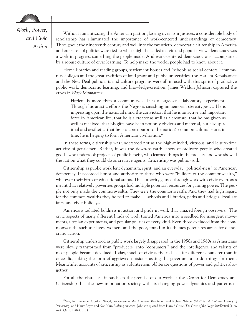

### *Work, Power, and Civic Action*

Without romanticizing the American past or glossing over its injustices, a considerable body of scholarship has illuminated the importance of work-centered understandings of democracy. Throughout the nineteenth century and well into the twentieth, democratic citizenship in America and our sense of politics were tied to what might be called a civic and populist view: democracy was a work in progress, something the people made. And work-centered democracy was accompanied by a robust culture of civic learning. To help make the world, people had to know about it.

Home libraries and reading groups, settlement houses and "schools as social centers," community colleges and the great tradition of land grant and public universities, the Harlem Renaissance and the New Deal public arts and culture programs were all infused with this spirit of productive public work, democratic learning, and knowledge-creation. James Weldon Johnson captured the ethos in *Black Manhattan:*

Harlem is more than a community.… It is a large-scale laboratory experiment. Through his artistic efforts the Negro is smashing immemorial stereotypes.… He is impressing upon the national mind the conviction that he is an active and important force in American life; that he is a creator as well as a creature; that he has given as well as received; that his gifts have been not only obvious and material, but also spiritual and aesthetic; that he is a contributor to the nation's common cultural store; in fine, he is helping to form American civilization.16

In these terms, citizenship was understood not as the high-minded, virtuous, and leisure-time activity of gentlemen. Rather, it was the down-to-earth labors of ordinary people who created goods, who undertook projects of public benefit, who learned things in the process, and who showed the nation what they could do as creative agents. Citizenship was public work.

Citizenship as public work lent dynamism, spirit, and an everyday "political-ness" to American democracy. It accorded honor and authority to those who were "builders of the commonwealth," whatever their birth or educational status. The authority gained through work with civic overtones meant that relatively powerless groups had multiple potential resources for gaining power. The people not only made the commonwealth. They *were* the commonwealth. And they had high regard for the common wealths they helped to make — schools and libraries, parks and bridges, local art fairs, and civic holidays.

Americans radiated boldness in action and pride in work that amazed foreign observers. The civic aspects of many different kinds of work turned America into a seedbed for insurgent movements, utopian experiments, and popular politics of every kind. Even those excluded from the commonwealth, such as slaves, women, and the poor, found in its themes potent resources for democratic action.

Citizenship understood as public work largely disappeared in the 1950s and 1960s as Americans were slowly transformed from "producers" into "consumers," and the intelligence and talents of most people became devalued. Today, much of civic activism has a far different character than it once did, taking the form of aggrieved outsiders asking the government to do things for them. Meanwhile, accounts of citizenship as volunteerism obliterate questions of power and politics altogether.

For all the obstacles, it has been the premise of our work at the Center for Democracy and Citizenship that the new information society with its changing power dynamics and patterns of

<sup>16</sup>See, for instance, Gordon Wood, *Radicalism of the American Revolution* and Robert Wiebe, *Self-Rule: A Cultural History of Democracy,* and Harry Boyte and Nan Kari, *Building America.* Johnson quoted from Harold Cruse, *The Crisis of the Negro Intellectual* (New York: Quill, 1984), p. 34.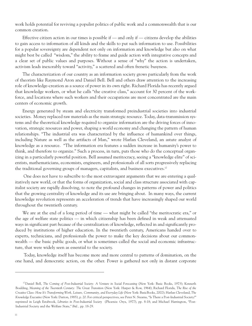work holds potential for reviving a populist politics of public work and a commonwealth that is our common creation.

Effective citizen action in our times is possible if — and only if — citizens develop the abilities to gain access to information of all kinds and the skills to put such information to use. Possibilities for a popular sovereignty are dependent not only on information and knowledge but also on what might best be called "wisdom," the ability to frame and guide action with integrative concepts and a clear set of public values and purposes. Without a sense of "why" the action is undertaken, activism leads inexorably toward "activity," a scattered and often frenetic busyness.

The characterization of our country as an information society grows particularly from the work of theorists like Raymond Aron and Daniel Bell. Bell and others draw attention to the increasing role of knowledge-creation as a source of power in its own right. Richard Florida has recently argued that knowledge workers, or what he calls "the creative class," account for 30 percent of the workforce, and locations where such workers and their occupations are most concentrated are the main centers of economic growth.

Energy generated by steam and electricity transformed preindustrial societies into industrial societies. Money replaced raw materials as the main strategic resource. Today, data-transmission systems and the theoretical knowledge required to organize information are the driving forces of innovation, strategic resources and power, shaping a world economy and changing the pattern of human relationships. "The industrial era was characterized by the influence of humankind over things, including Nature as well as the artifacts of Man," wrote Harlan Cleveland, an astute analyst of knowledge as a resource. "The information era features a sudden increase in humanity's power to think, and therefore to organize." Such a process, in turn, puts those who do the conceptual organizing in a particularly powerful position. Bell assumed meritocracy, seeing a "knowledge elite" of scientists, mathematicians, economists, engineers, and professionals of all sorts progressively replacing the traditional governing groups of managers, capitalists, and business executives.17

One does not have to subscribe to the most extravagant arguments that we are entering a qualitatively new world, or that the forms of organization, social and class structure associated with capitalist society are rapidly dissolving, to note the profound changes in patterns of power and politics that the growing centrality of knowledge and its use are bringing about. In many ways, the current knowledge revolution represents an acceleration of trends that have increasingly shaped our world throughout the twentieth century.

We are at the end of a long period of time — what might be called "the meritocratic era," or the age of welfare state politics — in which citizenship has been defined in weak and attenuated ways in significant part *because* of the centralization of knowledge, reflected in and significantly produced by institutions of higher education. In the twentieth century, Americans handed over to experts, technicians, and professionals the power to make the key decisions about our commonwealth — the basic public goods, or what is sometimes called the social and economic infrastructure, that were widely seen as essential to the society.

Today, knowledge itself has become more and more central to patterns of domination, on the one hand, and democratic action, on the other. Power is gathered not only in distant corporate

<sup>17</sup>Daniel Bell, *The Coming of Post-Industrial Society: A Venture in Social Forecasting* (New York: Basic Books, 1973); Kenneth Boulding, *Meaning of the Twentieth Century: The Great Transition* (New York: Harper & Row, 1964); Richard Florida, *The Rise of the Creative Class: How It's Transforming Work, Leisure, Community, and Everyday Life* (New York: BasicBooks, 2002); Harlan Cleveland, *The Knowledge Executive* (New York: Dutton, 1985), p. 20. For critical perspectives, see Peter N. Stearns, "Is There a Post-Industrial Society?" reprinted in Leigh Estabrook, *Libraries in Post-Industrial Society* (Phoenix: Oryx, 1977), pp. 8-18; and Michael Harrington, "Post-Industrial Society and the Welfare State," *Ibid.,* pp. 18-29.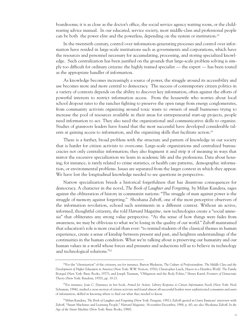boardrooms; it is as close as the doctor's office, the social service agency waiting room, or the childrearing advice manual. In our educated, service society, most middle-class and professional people can be both the power elite and the powerless, depending on the system or institution.18

In the twentieth century, control over information-generating processes and control over information have resided in large-scale institutions such as governments and corporations, which have the resources and personnel necessary for accumulating, processing, and storing specialized knowledge. Such centralization has been justified on the grounds that large-scale problem solving is simply too difficult for ordinary citizens: the highly trained specialist — the expert — has been touted as the appropriate handler of information.

As knowledge becomes increasingly a source of power, the struggle around its accessibility and use becomes more and more central to democracy. The success of contemporary citizen politics in a variety of contexts depends on the ability to discover key information, often against the efforts of powerful interests to restrict information access. From the housewife who worries about local school dropout rates to the rancher fighting to preserve the open range from energy conglomerates, from community activists organizing around toxic waste to owners of small businesses trying to increase the pool of resources available in their areas for entrepeneurial start-up projects, people need information to act. They also need the organizational and communicative skills to organize. Studies of grassroots leaders have found that the most successful have developed considerable talents at gaining access to information, and the organizing skills that facilitate action.19

There is a further, broad problem with the structure and pattern of knowledge in our society that is harder for citizen activists to overcome. Large-scale organizations and centralized bureaucracies not only centralize information; they also fragment it and strip it of meaning in ways that mirror the excessive specialization we learn in academic life and the professions. Data about housing, for instance, is rarely related to crime statistics, or health care patterns, demographic information, or environmental problems. Issues are separated from the larger context in which they appear. We have lost the longitudinal knowledge needed to see questions in perspective.

Narrow specialization breeds a historical forgetfulness that has disastrous consequences for democracy. A character in the novel, *The Book of Laughter and Forgetting,* by Milan Kundera, rages against the obliteration of history in communist nations: "The struggle of man against power is the struggle of memory against forgetting." Shoshana Zuboff, one of the most perceptive observers of the information revolution, echoed such sentiments in a different context. Without an active, informed, thoughtful citizenry, she told *Harvard Magazine,* new technologies create a "social amnesia" that obliterates any strong value perspective. "As the sense of how things were fades from awareness, we may be oblivious to what we're losing in the quality of our world." Zuboff maintained that education's role is more crucial than ever: "to remind students of the classical themes in human experience, create a sense of kinship between present and past, and heighten understandings of the continuities in the human condition. What we're talking about is preserving our humanity and our human values in a world whose forces and pressures and seductions tell us to believe in technology and technological solutions."20

<sup>18</sup> For the "clientization" of the citizenry, see for instance, Barton Bledstein, *The Culture of Professionalism: The Middle Class and the Development of Higher Education in America* (New York: W.W. Norton, 1976); Christopher Lasch, *Haven in a Heartless World: The Family Besieged* (New York: Basic Books, 1977); and Joseph Tussman, "Obligation and the Body Politic," Henry Kariel, *Frontiers of Democratic Theory* (New York: Random, 1970), pp. 18-21.

<sup>19</sup> For instance, Joan C. Durrance in her book, *Armed for Action: Library Response to Citizen Information Needs* (New York: Neal Schuman, 1984), studied a cross-section of citizen activists and found almost all successful leaders were sophisticated consumers and users of information, skilled in knowing where to find out what they needed to know.

<sup>20</sup>Milan Kundera, *The Book of Laughter and Forgetting* (New York: Penguin, 1981); Zuboff quoted in Garry Emmons' interview with Zuboff, "Smart Machines and Learning People," *Harvard Magazine,* November-December, 1988, p. 60; see also Shoshana Zuboff, *In the Age of the Smart Machine* (New York: Basic Books, 1988).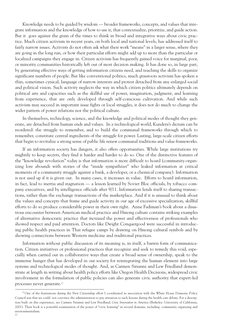Knowledge needs to be guided by wisdom — broader frameworks, concepts, and values that integrate information and the knowledge of how to use it, that contextualize, prioritize, and guide action. But it goes against the grain of the times to think in broad and integrative ways about civic practice. Much citizen activism in recent years, on both local and national levels, has addressed itself to fairly narrow issues. Activists do not often ask what their work "means" in a larger sense, where they are going in the long run, or how their particular efforts might add up to more than the particular or localized campaigns they engage in. Citizen activism has frequently gained voice for marginal, poor, or minority communities historically left out of most decision making. It has done so, in large part, by generating effective ways of getting information citizens need, and teaching the skills to organize significant numbers of people. But like conventional politics, much grassroots activism has spoken a thin, sometimes cynical, language of narrow interests and protest detached from any enlarged social and political vision. Such activity neglects the way in which citizen politics ultimately depends on political arts and capacities such as the skillful use of power, imagination, judgment, and learning from experience, that are only developed through self-conscious cultivation. And while such activism may succeed in important issue fights or local struggles, it does not do much to change the wider pattern of power relations nor the political culture.

In themselves, technology, science, and the knowledge and political modes of thought they generate, are detached from human ends and values. In a technological world, Kundera's dictum can be reordered: the struggle to remember, and to build the communal frameworks through which to remember, constitute central ingredients of the struggle for power. Lasting, large-scale citizen efforts that begin to revitalize a strong sense of public life renew communal traditions and value frameworks.

If an information society has dangers, it also offers opportunities. While large institutions try mightily to keep secrets, they find it harder and harder to do so. One of the distinctive features of the "knowledge revolution" today is that information is more difficult to hoard (community-organizing lore abounds with stories of the "inside sympathizer" who leaked information at critical moments of a community struggle against a bank, a developer, or a chemical company). Information is not used up if it is given out. In many cases, it increases in value. Efforts to hoard information, in fact, lead to inertia and stagnation — a lesson learned by Soviet Bloc officials, by tobacco company executives, and by intelligence officials after 9/11. Information lends itself to sharing transactions, rather than the exchange transactions of the marketplace. And if it is unusual to think about the values and concepts that frame and guide activity in our age of excessive specialization, skillful efforts to do so produce considerable power in their own right. Anne Fadiman's book about a disastrous encounter between American medical practice and Hmong culture contains striking examples of alternative democratic practice that *increased* the power and effectiveness of professionals who showed respect and paid attention. Doctors like Dwight Conquergood were successful in introducing public health practices in Thai refugee camps by drawing on Hmong cultural symbols and by showing connections between Western medicine and traditional practices.

Information without public discussion of its meaning is, in itself, a barren form of communication. Citizen initiatives or professional practices that recognize and seek to remedy this void, especially when carried out in collaborative ways that create a broad sense of ownership, speak to the immense hunger that has developed in our society for reintegrating the human element into large systems and technological modes of thought. And, as Carmen Sirianni and Lew Friedland demonstrate at length in writing about health policy efforts like Oregon Health Decisions, widespread civic involvement in the formulation of public policies can also generate civic authority that expert-led processes never generate.21

 $21$ One of the frustrations during the New Citizenship effort I coordinated in association with the White House Domestic Policy Council was that we could not convince the administration to pay attention to such lessons during the health care debate. For a description built on this experience, see Carmen Sirianni and Lew Friedland, *Civic Innovation in America* (Berkeley: University of California, 2001). Their book is a powerful examination of the power of "civic learning" in several domains, including community organizing and environmentalism.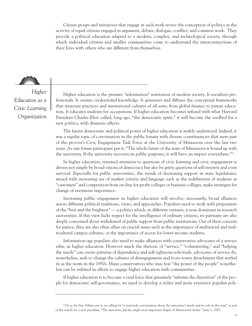Citizen groups and initiatives that engage in such work revive the conception of politics as the activity of equal citizens engaged in argument, debate, dialogue, conflict, and common work. They provide a political education adapted to a modern, complex, and technological society, through which individual citizens and smaller communities come to understand the interconnections of their lives with others who are different from themselves.

*Higher Education as a*

*Civic Learning Organization*

Higher education is the premier "information" institution of modern society. It socializes professionals. It creates credentialed knowledge. It generates and diffuses the conceptual frameworks that structure practices and institutional cultures of all sorts, from global finance to parent education. It educates students for occupations. If higher education becomes infused with what Harvard President Charles Eliot called, long ago, "the democratic spirit," it will become the seedbed for a new politics, with dramatic effects.

The latent democratic and political power of higher education is widely understood. Indeed, it was a regular topic of conversation in the public forums with diverse constituencies that were part of the provost's Civic Engagement Task Force at the University of Minnesota over the last two years. As one forum participant put it, "The whole future of the state of Minnesota is bound up with the university. If the university recovers its public purposes, it will have an impact everywhere."<sup>22</sup>

In higher education, renewed attention to questions of civic learning and civic engagement is driven not simply by broad visions of democracy but also by gritty questions of self-interest and even survival. Especially for public universities, the trends of decreasing support in state legislatures, mixed with increasing use of market criteria and language such as the redefinition of students as "customers" and competition from on-line for-profit colleges or business colleges, make strategies for change of enormous importance.

Increasing public engagement in higher education will involve, necessarily, broad alliances across different political traditions, views, and approaches. Populists need to work with proponents of the "best and the brightest" — a politics which, in different variants, is now dominant in research universities. If this view lacks respect for the intelligence of ordinary citizens, its partisans are also deeply concerned about withdrawal of public support from public institutions. Out of their concern for justice, they are also often allies on crucial issues such as the importance of multiracial and multicultural campus cultures, or the importance of access for lower-income students.

Information-age populists also need to make alliances with conservative advocates of a service ethic in higher education. However much the rhetoric of "service," "volunteering," and "helping the needy" can create patterns of dependency and self-righteous solicitude, advocates of service do, nonetheless, seek to change the cultures of disengagement and ivory-tower detachment that settled in as the norm in the 1950s. Many conservatives who may fear "the power of the people" nonetheless can be enlisted in efforts to engage higher education with communities.

If higher education is to become a vital force that genuinely "informs the discretion" of the people for democratic self-governance, we need to develop a richer and more extensive populist poli-

<sup>&</sup>lt;sup>22</sup>Or as the *Star Tribune* put it, in calling for "a statewide conversation about the university's needs and its role in the state" as part of the search for a new president, "The university [is] the single most important shaper of Minnesota's future." June 1, 2002.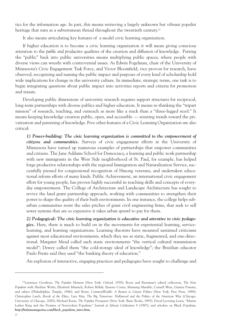tics for the information age. In part, this means retrieving a largely unknown but vibrant populist heritage that runs as a subterranean thread throughout the twentieth century.<sup>23</sup>

It also means articulating key features of a model civic learning organization.

If higher education is to become a civic learning organization it will mean giving conscious attention to the *public and productive* qualities of the creation and diffusion of knowledge. Putting the "public" back into public universities means multiplying public spaces, where people with diverse views can wrestle with controversial issues. As Edwin Fogelman, chair of the University of Minnesota's Civic Engagement Task Force, and Victor Bloomfield, vice provost for research, have observed, recognizing and naming the public impact and purposes of every kind of scholarship hold wide implications for change in the university culture. In immediate, strategic terms, one task is to begin integrating questions about public impact into activities reports and criteria for promotion and tenure.

Developing public dimensions of university research requires support structures for reciprocal, long-term partnerships with diverse publics and higher education. It means re-thinking the "tripart mission" of research, teaching, and outreach as more like a stack than a "three-legged stool." It means keeping knowledge creation public, open, and accessible — resisting trends toward the privatization and patenting of knowledge. Five other features of a Civic Learning Organization are also critical:

*1) Power-building: The civic learning organization is committed to the empowerment of citizens and communities.* Surveys of civic engagement efforts at the University of Minnesota have turned up numerous examples of partnerships that empower communities and citizens. The Jane Addams School for Democracy, a learning and public work partnership with new immigrants in the West Side neighborhood of St. Paul, for example, has helped forge productive relationships with the regional Immigration and Naturalization Service, successfully pressed for congressional recognition of Hmong veterans, and undertaken educational reform efforts of many kinds. Public Achievement, an international civic engagement effort for young people, has proven highly successful in teaching skills and concepts of everyday empowerment. The College of Architecture and Landscape Architecture has sought to revive the land grant partnership approach, working with communities to strengthen their power to shape the quality of their built environments. In one instance, the college helps suburban communities resist the sales pitches of giant civil engineering firms, that seek to sell sewer systems that are so expensive it takes urban sprawl to pay for them.

*2) Pedagogical: The civic learning organization is educative and attentive to civic pedagogies.* Here, there is much to build on in the movements for experiential learning, servicelearning, and learning organizations. Learning theorists have mounted sustained criticisms against most educational environments, which they see as static, fragmented, and one-directional. Margaret Mead called such static environments "the vertical cultural transmission model"; Dewey called them "the cold-storage ideal of knowledge"; the Brazilian educator Paulo Freire said they used "the banking theory of education."

An explosion of interactive, engaging practices and pedagogies have sought to challenge and

<sup>23</sup>Lawrence Goodwyn, *The Populist Moment* (New York: Oxford, 1978); Boyte and Riessman's edited collection, *The New Populism* with Sheldon Wolin, Elizabeth Minnich, Robert Bellah, Ernesto Cortes, Manning Marable, Cornell West, Gianna Pomata, and others (Philadelphia: Temple, 1986); and Boyte, *CommonWealth: A Return to Citizen Politics* (New York: Free Press, 1989); Christopher Lasch, *Revolt of the Elites;* Lary May, *The Big Tomorrow: Hollywood and the Politics of the American Way* (Chicago: University of Chicago, 2000); Michael Kazin, *The Populist Persuasion* (New York: Basic Books, 1995); David Levering Lewis, "Martin Luther King and the Promise of Nonviolent Populism," *Journal of African Civilization 9* (1987); and scholars on Black Populism, **http://kalamumagazine.com/black\_populism\_intro.htm.**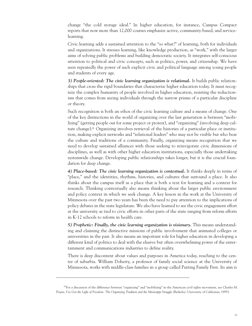change "the cold storage ideal." In higher education, for instance, Campus Compact reports that now more than 12,000 courses emphasize active, community-based, and servicelearning.

Civic learning adds a sustained attention to the "so what?" of learning, both for individuals and organizations. It stresses learning, like knowledge production, as "work," with the larger aims of solving public problems and building democratic society. It integrates self-conscious attention to political and civic concepts, such as politics, power, and citizenship. We have seen repeatedly the power of such explicit civic and political language among young people and students of every age.

*3) People-oriented: The civic learning organization is relational.* It builds public relationships that cross the rigid boundaries that characterize higher education today. It must recognize the complex humanity of people involved in higher education, resisting the reductionism that comes from seeing individuals through the narrow prisms of a particular discipline or theory.

Such recognition is both an ethos of the civic learning culture and a means of change. One of the key distinctions in the world of organizing over the last generation is between "mobilizing" (getting people out for some project or protest), and "organizing" (involving deep culture change).<sup>24</sup> Organizing involves retrieval of the histories of a particular place or institution, making explicit networks and "relational leaders" who may not be visible but who bear the culture and traditions of a community. Finally, organizing means recognition that we need to develop sustained alliances with those seeking to reinvigorate civic dimensions of disciplines, as well as with other higher education institutions, especially those undertaking systemwide change. Developing public relationships takes longer, but it is the crucial foundation for deep change.

*4) Place-based: The civic learning organization is contextual.* It thinks deeply in terms of "place," and the identities, rhythms, histories, and cultures that surround a place. It also thinks about the campus itself as a place that is both a text for learning and a context for research. Thinking contextually also means thinking about the larger public environment and policy context in which we seek change. A key lesson in the work at the University of Minnesota over the past two years has been the need to pay attention to the implications of policy debates in the state legislature. We also have learned to see the civic engagement effort at the university as tied to civic efforts in other parts of the state ranging from reform efforts in K-12 schools to reform in health care.

*5) Prophetic: Finally, the civic learning organization is visionary.* This means understanding and claiming the distinctive missions of public involvement that animated colleges or universities in the past. It also means an important role for higher education in developing a different kind of politics to deal with the elusive but often overwhelming power of the entertainment and communications industries to define reality.

There is deep discontent about values and purposes in America today, reaching to the center of suburbia. William Doherty, a professor of family social science at the University of Minnesota, works with middle-class families in a group called Putting Family First. Its aim is

<sup>&</sup>lt;sup>24</sup> For a discussion of the difference between "organizing" and "mobilizing" in the American civil rights movement, see Charles M. Payne, *I've Got the Light of Freedom: The Organizing Tradition and the Mississippi Struggle* (Berkeley: University of California, 1995).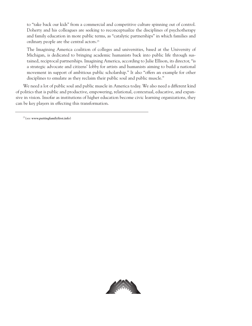to "take back our kids" from a commercial and competitive culture spinning out of control. Doherty and his colleagues are seeking to reconceptualize the disciplines of psychotherapy and family education in more public terms, as "catalytic partnerships" in which families and ordinary people are the central actors.25

The Imagining America coalition of colleges and universities, based at the University of Michigan, is dedicated to bringing academic humanists back into public life through sustained, reciprocal partnerships. Imagining America, according to Julie Ellison, its director, "is a strategic advocate and citizens' lobby for artists and humanists aiming to build a national movement in support of ambitious public scholarship." It also "offers an example for other disciplines to emulate as they reclaim their public soul and public muscle."

We need a lot of public soul and public muscle in America today. We also need a different kind of politics that is public and productive, empowering, relational, contextual, educative, and expansive in vision. Insofar as institutions of higher education become civic learning organizations, they can be key players in effecting this transformation.

<sup>25</sup> (see **www.puttingfamilyfirst.info**)